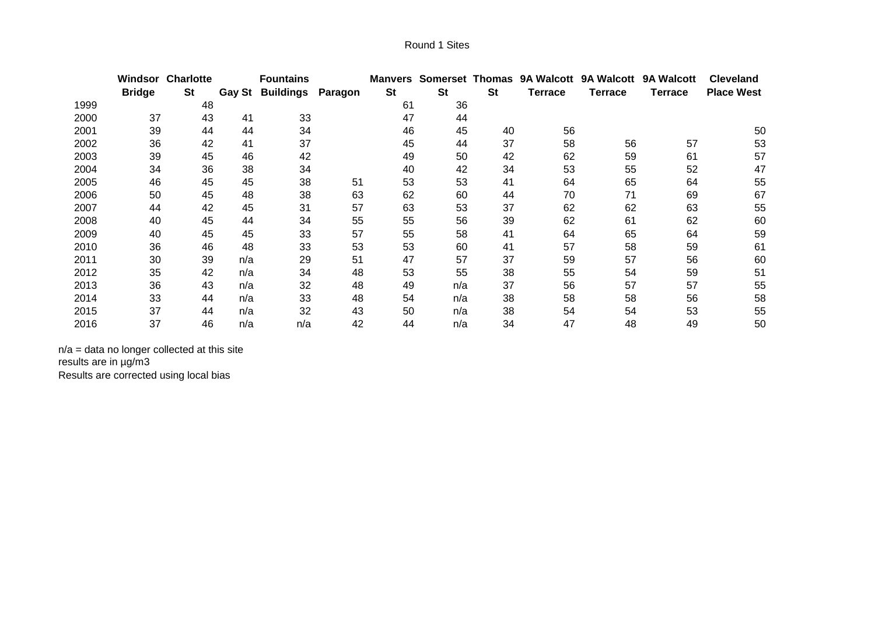|      |               | <b>Windsor Charlotte</b> |     | <b>Fountains</b>        |         | <b>Manvers</b> |           |           | Somerset Thomas 9A Walcott |                | 9A Walcott 9A Walcott | <b>Cleveland</b>  |
|------|---------------|--------------------------|-----|-------------------------|---------|----------------|-----------|-----------|----------------------------|----------------|-----------------------|-------------------|
|      | <b>Bridge</b> | St                       |     | <b>Gay St Buildings</b> | Paragon | <b>St</b>      | <b>St</b> | <b>St</b> | <b>Terrace</b>             | <b>Terrace</b> | Terrace               | <b>Place West</b> |
| 1999 |               | 48                       |     |                         |         | 61             | 36        |           |                            |                |                       |                   |
| 2000 | 37            | 43                       | 41  | 33                      |         | 47             | 44        |           |                            |                |                       |                   |
| 2001 | 39            | 44                       | 44  | 34                      |         | 46             | 45        | 40        | 56                         |                |                       | 50                |
| 2002 | 36            | 42                       | 41  | 37                      |         | 45             | 44        | 37        | 58                         | 56             | 57                    | 53                |
| 2003 | 39            | 45                       | 46  | 42                      |         | 49             | 50        | 42        | 62                         | 59             | 61                    | 57                |
| 2004 | 34            | 36                       | 38  | 34                      |         | 40             | 42        | 34        | 53                         | 55             | 52                    | 47                |
| 2005 | 46            | 45                       | 45  | 38                      | 51      | 53             | 53        | 41        | 64                         | 65             | 64                    | 55                |
| 2006 | 50            | 45                       | 48  | 38                      | 63      | 62             | 60        | 44        | 70                         | 71             | 69                    | 67                |
| 2007 | 44            | 42                       | 45  | 31                      | 57      | 63             | 53        | 37        | 62                         | 62             | 63                    | 55                |
| 2008 | 40            | 45                       | 44  | 34                      | 55      | 55             | 56        | 39        | 62                         | 61             | 62                    | 60                |
| 2009 | 40            | 45                       | 45  | 33                      | 57      | 55             | 58        | 41        | 64                         | 65             | 64                    | 59                |
| 2010 | 36            | 46                       | 48  | 33                      | 53      | 53             | 60        | 41        | 57                         | 58             | 59                    | 61                |
| 2011 | 30            | 39                       | n/a | 29                      | 51      | 47             | 57        | 37        | 59                         | 57             | 56                    | 60                |
| 2012 | 35            | 42                       | n/a | 34                      | 48      | 53             | 55        | 38        | 55                         | 54             | 59                    | 51                |
| 2013 | 36            | 43                       | n/a | 32                      | 48      | 49             | n/a       | 37        | 56                         | 57             | 57                    | 55                |
| 2014 | 33            | 44                       | n/a | 33                      | 48      | 54             | n/a       | 38        | 58                         | 58             | 56                    | 58                |
| 2015 | 37            | 44                       | n/a | 32                      | 43      | 50             | n/a       | 38        | 54                         | 54             | 53                    | 55                |
| 2016 | 37            | 46                       | n/a | n/a                     | 42      | 44             | n/a       | 34        | 47                         | 48             | 49                    | 50                |

n/a = data no longer collected at this site results are in µg/m3 Results are corrected using local bias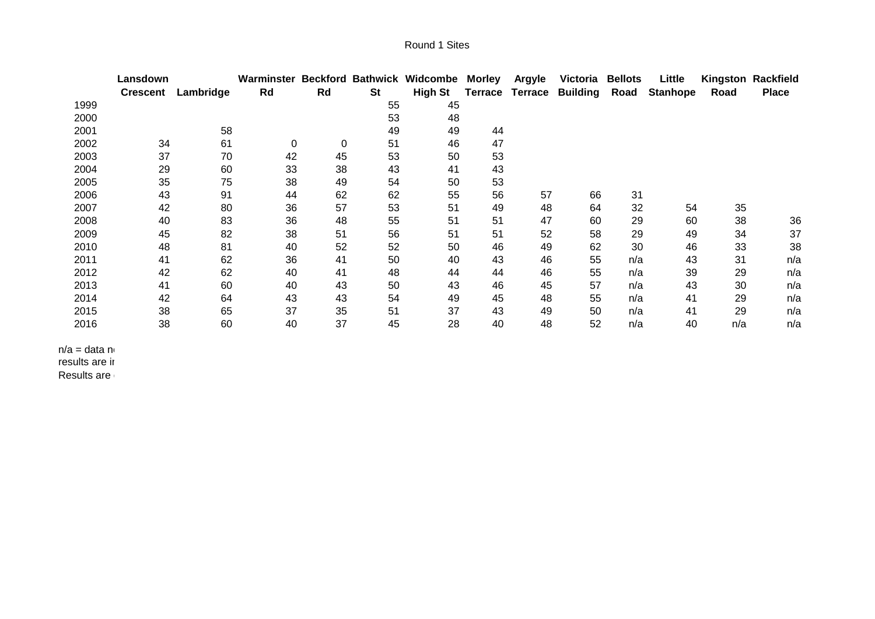|      | Lansdown        |           | Warminster |    |           | <b>Beckford Bathwick Widcombe</b> | <b>Morley</b>  | <b>Argyle</b>  | Victoria        | <b>Bellots</b> | Little          |      | Kingston Rackfield |
|------|-----------------|-----------|------------|----|-----------|-----------------------------------|----------------|----------------|-----------------|----------------|-----------------|------|--------------------|
|      | <b>Crescent</b> | Lambridge | Rd         | Rd | <b>St</b> | <b>High St</b>                    | <b>Terrace</b> | <b>Terrace</b> | <b>Building</b> | Road           | <b>Stanhope</b> | Road | <b>Place</b>       |
| 1999 |                 |           |            |    | 55        | 45                                |                |                |                 |                |                 |      |                    |
| 2000 |                 |           |            |    | 53        | 48                                |                |                |                 |                |                 |      |                    |
| 2001 |                 | 58        |            |    | 49        | 49                                | 44             |                |                 |                |                 |      |                    |
| 2002 | 34              | 61        | 0          | 0  | 51        | 46                                | 47             |                |                 |                |                 |      |                    |
| 2003 | 37              | 70        | 42         | 45 | 53        | 50                                | 53             |                |                 |                |                 |      |                    |
| 2004 | 29              | 60        | 33         | 38 | 43        | 41                                | 43             |                |                 |                |                 |      |                    |
| 2005 | 35              | 75        | 38         | 49 | 54        | 50                                | 53             |                |                 |                |                 |      |                    |
| 2006 | 43              | 91        | 44         | 62 | 62        | 55                                | 56             | 57             | 66              | 31             |                 |      |                    |
| 2007 | 42              | 80        | 36         | 57 | 53        | 51                                | 49             | 48             | 64              | 32             | 54              | 35   |                    |
| 2008 | 40              | 83        | 36         | 48 | 55        | 51                                | 51             | 47             | 60              | 29             | 60              | 38   | 36                 |
| 2009 | 45              | 82        | 38         | 51 | 56        | 51                                | 51             | 52             | 58              | 29             | 49              | 34   | 37                 |
| 2010 | 48              | 81        | 40         | 52 | 52        | 50                                | 46             | 49             | 62              | 30             | 46              | 33   | 38                 |
| 2011 | 41              | 62        | 36         | 41 | 50        | 40                                | 43             | 46             | 55              | n/a            | 43              | 31   | n/a                |
| 2012 | 42              | 62        | 40         | 41 | 48        | 44                                | 44             | 46             | 55              | n/a            | 39              | 29   | n/a                |
| 2013 | 41              | 60        | 40         | 43 | 50        | 43                                | 46             | 45             | 57              | n/a            | 43              | 30   | n/a                |
| 2014 | 42              | 64        | 43         | 43 | 54        | 49                                | 45             | 48             | 55              | n/a            | 41              | 29   | n/a                |
| 2015 | 38              | 65        | 37         | 35 | 51        | 37                                | 43             | 49             | 50              | n/a            | 41              | 29   | n/a                |
| 2016 | 38              | 60        | 40         | 37 | 45        | 28                                | 40             | 48             | 52              | n/a            | 40              | n/a  | n/a                |

 $n/a =$  data no results are ir

Results are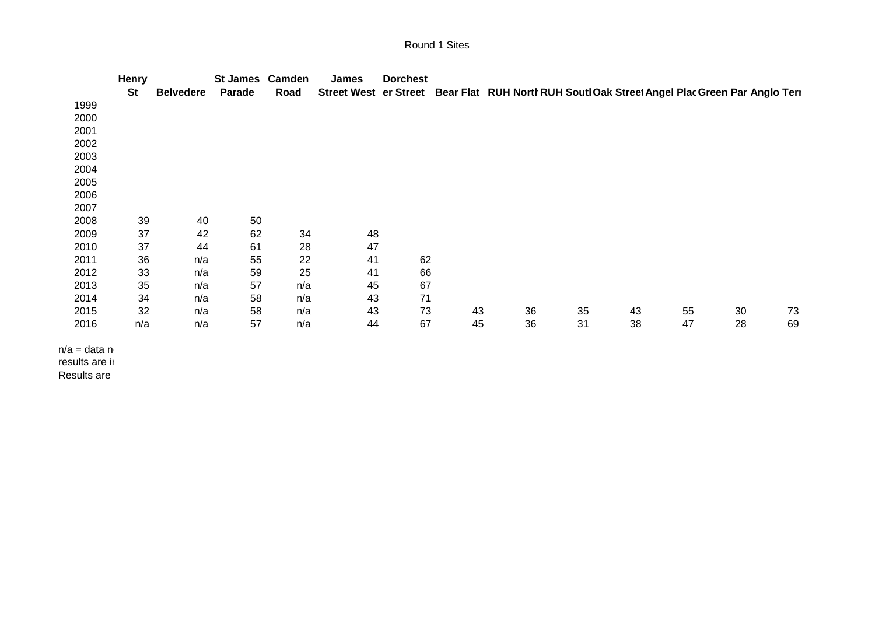## Round 1 Sites

|               | <b>Henry</b> |                  | St James Camden |      | <b>James</b>                 | <b>Dorchest</b> |    |    |                                                                           |    |    |    |    |
|---------------|--------------|------------------|-----------------|------|------------------------------|-----------------|----|----|---------------------------------------------------------------------------|----|----|----|----|
|               | <b>St</b>    | <b>Belvedere</b> | Parade          | Road | <b>Street West er Street</b> |                 |    |    | Bear Flat RUH North RUH Soutl Oak Street Angel Plac Green Parl Anglo Teri |    |    |    |    |
| 1999          |              |                  |                 |      |                              |                 |    |    |                                                                           |    |    |    |    |
| 2000          |              |                  |                 |      |                              |                 |    |    |                                                                           |    |    |    |    |
| 2001          |              |                  |                 |      |                              |                 |    |    |                                                                           |    |    |    |    |
| 2002          |              |                  |                 |      |                              |                 |    |    |                                                                           |    |    |    |    |
| 2003          |              |                  |                 |      |                              |                 |    |    |                                                                           |    |    |    |    |
| 2004          |              |                  |                 |      |                              |                 |    |    |                                                                           |    |    |    |    |
| 2005          |              |                  |                 |      |                              |                 |    |    |                                                                           |    |    |    |    |
| 2006          |              |                  |                 |      |                              |                 |    |    |                                                                           |    |    |    |    |
| 2007          |              |                  |                 |      |                              |                 |    |    |                                                                           |    |    |    |    |
| 2008          | 39           | 40               | 50              |      |                              |                 |    |    |                                                                           |    |    |    |    |
| 2009          | 37           | 42               | 62              | 34   | 48                           |                 |    |    |                                                                           |    |    |    |    |
| 2010          | 37           | 44               | 61              | 28   | 47                           |                 |    |    |                                                                           |    |    |    |    |
| 2011          | 36           | n/a              | 55              | 22   | 41                           | 62              |    |    |                                                                           |    |    |    |    |
| 2012          | 33           | n/a              | 59              | 25   | 41                           | 66              |    |    |                                                                           |    |    |    |    |
| 2013          | 35           | n/a              | 57              | n/a  | 45                           | 67              |    |    |                                                                           |    |    |    |    |
| 2014          | 34           | n/a              | 58              | n/a  | 43                           | 71              |    |    |                                                                           |    |    |    |    |
| 2015          | 32           | n/a              | 58              | n/a  | 43                           | 73              | 43 | 36 | 35                                                                        | 43 | 55 | 30 | 73 |
| 2016          | n/a          | n/a              | 57              | n/a  | 44                           | 67              | 45 | 36 | 31                                                                        | 38 | 47 | 28 | 69 |
| n/a = data n∈ |              |                  |                 |      |                              |                 |    |    |                                                                           |    |    |    |    |

results are ir

Results are